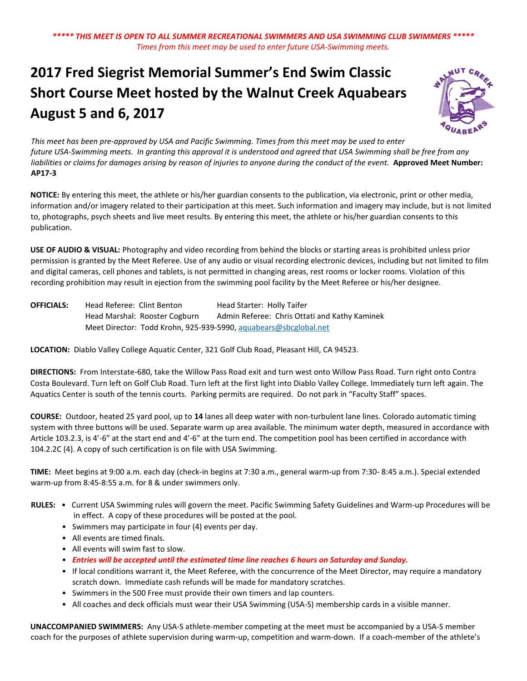# **2017 Fred Siegrist Memorial Summer's End Swim Classic Short Course Meet hosted by the Walnut Creek Aquabears August 5 and 6, 2017**



*This meet has been pre‐approved by USA and Pacific Swimming. Times from this meet may be used to enter future USA‐Swimming meets. In granting this approval it is understood and agreed that USA Swimming shall be free from any*  liabilities or claims for damages arising by reason of injuries to anyone during the conduct of the event. **Approved Meet Number: AP17-3**

**NOTICE:** By entering this meet, the athlete or his/her guardian consents to the publication, via electronic, print or other media, information and/or imagery related to their participation at this meet. Such information and imagery may include, but is not limited to, photographs, psych sheets and live meet results. By entering this meet, the athlete or his/her guardian consents to this publication.

**USE OF AUDIO & VISUAL:** Photography and video recording from behind the blocks or starting areas is prohibited unless prior permission is granted by the Meet Referee. Use of any audio or visual recording electronic devices, including but not limited to film and digital cameras, cell phones and tablets, is not permitted in changing areas, rest rooms or locker rooms. Violation of this recording prohibition may result in ejection from the swimming pool facility by the Meet Referee or his/her designee.

**OFFICIALS:** Head Referee: Clint Benton Head Starter: Holly Taifer Head Marshal: Rooster Cogburn Admin Referee: Chris Ottati and Kathy Kaminek Meet Director: Todd Krohn, 925-939-5990, [aquabears@sbcglobal.net](mailto:aquabears@sbcglobal.net)

**LOCATION:** Diablo Valley College Aquatic Center, 321 Golf Club Road, Pleasant Hill, CA 94523.

**DIRECTIONS:** From Interstate‐680, take the Willow Pass Road exit and turn west onto Willow Pass Road. Turn right onto Contra Costa Boulevard. Turn left on Golf Club Road. Turn left at the first light into Diablo Valley College. Immediately turn left again. The Aquatics Center is south of the tennis courts. Parking permits are required. Do not park in "Faculty Staff" spaces.

**COURSE:** Outdoor, heated 25 yard pool, up to **14** lanes all deep water with non‐turbulent lane lines. Colorado automatic timing system with three buttons will be used. Separate warm up area available. The minimum water depth, measured in accordance with Article 103.2.3, is 4'‐6" at the start end and 4'‐6" at the turn end. The competition pool has been certified in accordance with 104.2.2C (4). A copy of such certification is on file with USA Swimming.

**TIME:** Meet begins at 9:00 a.m. each day (check‐in begins at 7:30 a.m., general warm‐up from 7:30‐ 8:45 a.m.). Special extended warm‐up from 8:45‐8:55 a.m. for 8 & under swimmers only.

- RULES: Current USA Swimming rules will govern the meet. Pacific Swimming Safety Guidelines and Warm-up Procedures will be in effect. A copy of these procedures will be posted at the pool.
	- Swimmers may participate in four (4) events per day.
	- All events are timed finals.
	- All events will swim fast to slow.
	- *Entries will be accepted until the estimated time line reaches 6 hours on Saturday and Sunday.*
	- If local conditions warrant it, the Meet Referee, with the concurrence of the Meet Director, may require a mandatory scratch down. Immediate cash refunds will be made for mandatory scratches.
	- Swimmers in the 500 Free must provide their own timers and lap counters.
	- All coaches and deck officials must wear their USA Swimming (USA‐S) membership cards in a visible manner.

**UNACCOMPANIED SWIMMERS:** Any USA‐S athlete‐member competing at the meet must be accompanied by a USA‐S member coach for the purposes of athlete supervision during warm-up, competition and warm-down. If a coach-member of the athlete's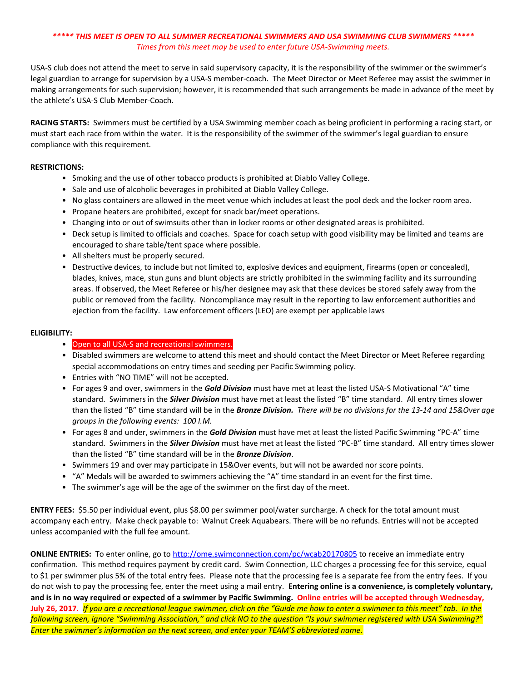USA‐S club does not attend the meet to serve in said supervisory capacity, it is the responsibility of the swimmer or the swimmer's legal guardian to arrange for supervision by a USA‐S member‐coach. The Meet Director or Meet Referee may assist the swimmer in making arrangements for such supervision; however, it is recommended that such arrangements be made in advance of the meet by the athlete's USA‐S Club Member‐Coach.

**RACING STARTS:** Swimmers must be certified by a USA Swimming member coach as being proficient in performing a racing start, or must start each race from within the water. It is the responsibility of the swimmer of the swimmer's legal guardian to ensure compliance with this requirement.

## **RESTRICTIONS:**

- Smoking and the use of other tobacco products is prohibited at Diablo Valley College.
- Sale and use of alcoholic beverages in prohibited at Diablo Valley College.
- No glass containers are allowed in the meet venue which includes at least the pool deck and the locker room area.
- Propane heaters are prohibited, except for snack bar/meet operations.
- Changing into or out of swimsuits other than in locker rooms or other designated areas is prohibited.
- Deck setup is limited to officials and coaches. Space for coach setup with good visibility may be limited and teams are encouraged to share table/tent space where possible.
- All shelters must be properly secured.
- Destructive devices, to include but not limited to, explosive devices and equipment, firearms (open or concealed), blades, knives, mace, stun guns and blunt objects are strictly prohibited in the swimming facility and its surrounding areas. If observed, the Meet Referee or his/her designee may ask that these devices be stored safely away from the public or removed from the facility. Noncompliance may result in the reporting to law enforcement authorities and ejection from the facility. Law enforcement officers (LEO) are exempt per applicable laws

#### **ELIGIBILITY:**

## • Open to all USA-S and recreational swimmers.

- Disabled swimmers are welcome to attend this meet and should contact the Meet Director or Meet Referee regarding special accommodations on entry times and seeding per Pacific Swimming policy.
- Entries with "NO TIME" will not be accepted.
- For ages 9 and over, swimmers in the *Gold Division* must have met at least the listed USA‐S Motivational "A" time standard. Swimmers in the *Silver Division* must have met at least the listed "B" time standard. All entry times slower than the listed "B" time standard will be in the *Bronze Division.**There will be no divisions for the 13‐14 and 15&Over age groups in the following events: 100 I.M.*
- For ages 8 and under, swimmers in the *Gold Division* must have met at least the listed Pacific Swimming "PC‐A" time standard. Swimmers in the *Silver Division* must have met at least the listed "PC‐B" time standard. All entry times slower than the listed "B" time standard will be in the *Bronze Division*.
- Swimmers 19 and over may participate in 15&Over events, but will not be awarded nor score points.
- "A" Medals will be awarded to swimmers achieving the "A" time standard in an event for the first time.
- The swimmer's age will be the age of the swimmer on the first day of the meet.

**ENTRY FEES:** \$5.50 per individual event, plus \$8.00 per swimmer pool/water surcharge. A check for the total amount must accompany each entry. Make check payable to: Walnut Creek Aquabears. There will be no refunds. Entries will not be accepted unless accompanied with the full fee amount.

**ONLINE ENTRIES:** To enter online, go to http://ome.swimconnection.com/pc/wcab20170805 to receive an immediate entry confirmation. This method requires payment by credit card. Swim Connection, LLC charges a processing fee for this service, equal to \$1 per swimmer plus 5% of the total entry fees. Please note that the processing fee is a separate fee from the entry fees. If you do not wish to pay the processing fee, enter the meet using a mail entry. **Entering online is a convenience, is completely voluntary, and is in no way required or expected of a swimmer by Pacific Swimming. Online entries will be accepted through Wednesday, July 26, 2017***. If you are a recreational league swimmer, click on the "Guide me how to enter a swimmer to this meet" tab. In the following screen, ignore "Swimming Association," and click NO to the question "Is your swimmer registered with USA Swimming?" Enter the swimmer's information on the next screen, and enter your TEAM'S abbreviated name.*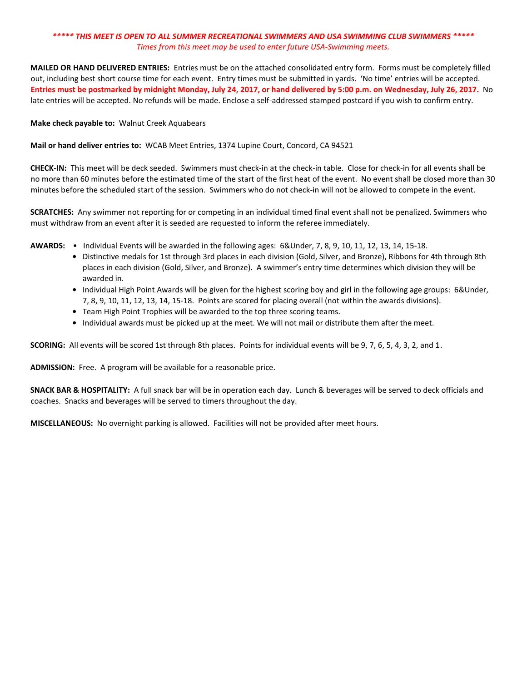**MAILED OR HAND DELIVERED ENTRIES:** Entries must be on the attached consolidated entry form. Forms must be completely filled out, including best short course time for each event. Entry times must be submitted in yards. 'No time' entries will be accepted. **Entries must be postmarked by midnight Monday, July 24, 2017, or hand delivered by 5:00 p.m. on Wednesday, July 26, 2017.** No late entries will be accepted. No refunds will be made. Enclose a self-addressed stamped postcard if you wish to confirm entry.

## **Make check payable to:** Walnut Creek Aquabears

### **Mail or hand deliver entries to:** WCAB Meet Entries, 1374 Lupine Court, Concord, CA 94521

**CHECK‐IN:** This meet will be deck seeded. Swimmers must check‐in at the check‐in table. Close for check‐in for all events shall be no more than 60 minutes before the estimated time of the start of the first heat of the event. No event shall be closed more than 30 minutes before the scheduled start of the session. Swimmers who do not check-in will not be allowed to compete in the event.

**SCRATCHES:** Any swimmer not reporting for or competing in an individual timed final event shall not be penalized. Swimmers who must withdraw from an event after it is seeded are requested to inform the referee immediately.

- **AWARDS:** Individual Events will be awarded in the following ages: 6&Under, 7, 8, 9, 10, 11, 12, 13, 14, 15‐18.
	- **•** Distinctive medals for 1st through 3rd places in each division (Gold, Silver, and Bronze), Ribbons for 4th through 8th places in each division (Gold, Silver, and Bronze). A swimmer's entry time determines which division they will be awarded in.
	- **•** Individual High Point Awards will be given for the highest scoring boy and girl in the following age groups: 6&Under, 7, 8, 9, 10, 11, 12, 13, 14, 15‐18. Points are scored for placing overall (not within the awards divisions).
	- **•** Team High Point Trophies will be awarded to the top three scoring teams.
	- **•** Individual awards must be picked up at the meet. We will not mail or distribute them after the meet.

**SCORING:** All events will be scored 1st through 8th places. Points for individual events will be 9, 7, 6, 5, 4, 3, 2, and 1.

**ADMISSION:** Free. A program will be available for a reasonable price.

**SNACK BAR & HOSPITALITY:** A full snack bar will be in operation each day. Lunch & beverages will be served to deck officials and coaches. Snacks and beverages will be served to timers throughout the day.

**MISCELLANEOUS:** No overnight parking is allowed. Facilities will not be provided after meet hours.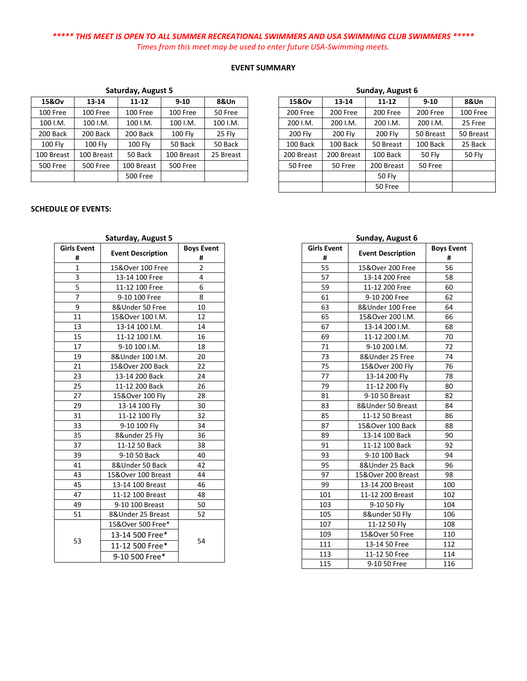## **EVENT SUMMARY**

| 15&Ov          | $13 - 14$       | $11 - 12$       | $9 - 10$        | 8&Un      |  |
|----------------|-----------------|-----------------|-----------------|-----------|--|
| 100 Free       | 100 Free        | 100 Free        | 100 Free        | 50 Free   |  |
| 100 I.M.       | 100 I.M.        | 100 I.M.        | 100 I.M.        | 100 I.M.  |  |
| 200 Back       | 200 Back        | 200 Back        | <b>100 Flv</b>  | 25 Fly    |  |
| <b>100 Fly</b> | <b>100 Fly</b>  | 100 Fly         | 50 Back         | 50 Back   |  |
| 100 Breast     | 100 Breast      | 50 Back         | 100 Breast      | 25 Breast |  |
| 500 Free       | <b>500 Free</b> | 100 Breast      | <b>500 Free</b> |           |  |
|                |                 | <b>500 Free</b> |                 |           |  |

## **Saturday, August 5**

### **SCHEDULE OF EVENTS:**

## **Saturday, August 5**

 $\overline{\phantom{a}}$ 

| <b>Girls Event</b><br># | <b>Event Description</b> | <b>Boys Event</b><br># |
|-------------------------|--------------------------|------------------------|
| $\mathbf{1}$            | 15&Over 100 Free         | 2                      |
| 3                       | 13-14 100 Free           | 4                      |
| 5                       | 11-12 100 Free           | 6                      |
| 7                       | 9-10 100 Free            | 8                      |
| 9                       | 8&Under 50 Free          | 10                     |
| 11                      | 15&Over 100 I.M.         | 12                     |
| 13                      | 13-14 100 I.M.           | 14                     |
| 15                      | 11-12 100 I.M.           | 16                     |
| 17                      | 9-10 100 I.M.            | 18                     |
| 19                      | 8&Under 100 I.M.         | 20                     |
| 21                      | 15&Over 200 Back         | 22                     |
| 23                      | 13-14 200 Back           | 24                     |
| 25                      | 11-12 200 Back           | 26                     |
| 27                      | 15&Over 100 Fly          | 28                     |
| 29                      | 13-14 100 Fly            | 30                     |
| 31                      | 11-12 100 Fly            | 32                     |
| 33                      | 9-10 100 Fly             | 34                     |
| 35                      | 8&under 25 Fly           | 36                     |
| 37                      | 11-12 50 Back            | 38                     |
| 39                      | 9-10 50 Back             | 40                     |
| 41                      | 8&Under 50 Back          | 42                     |
| 43                      | 15&Over 100 Breast       | 44                     |
| 45                      | 13-14 100 Breast         | 46                     |
| 47                      | 11-12 100 Breast         | 48                     |
| 49                      | 9-10 100 Breast          | 50                     |
| 51                      | 8&Under 25 Breast        | 52                     |
|                         | 15&Over 500 Free*        |                        |
|                         | 13-14 500 Free*          |                        |
| 53                      | 11-12 500 Free*          | 54                     |
|                         | 9-10 500 Free*           |                        |

| Sunday, August 6 |            |               |           |           |  |  |  |  |
|------------------|------------|---------------|-----------|-----------|--|--|--|--|
| 15&Ov            | 13-14      | 11-12         | $9 - 10$  | 8&Un      |  |  |  |  |
| 200 Free         | 200 Free   | 200 Free      | 200 Free  | 100 Free  |  |  |  |  |
| 200 I.M.         | 200 I.M.   | 200 I.M.      | 200 I.M.  | 25 Free   |  |  |  |  |
| 200 Fly          | 200 Fly    | 200 Fly       | 50 Breast | 50 Breast |  |  |  |  |
| 100 Back         | 100 Back   | 50 Breast     | 100 Back  | 25 Back   |  |  |  |  |
| 200 Breast       | 200 Breast | 100 Back      | 50 Fly    | 50 Fly    |  |  |  |  |
| 50 Free          | 50 Free    | 200 Breast    | 50 Free   |           |  |  |  |  |
|                  |            | <b>50 Fly</b> |           |           |  |  |  |  |
|                  |            | 50 Free       |           |           |  |  |  |  |

## **Sunday, August 6**

| <b>Girls Event</b> |                          |                        |  |  |  |  |  |
|--------------------|--------------------------|------------------------|--|--|--|--|--|
| #                  | <b>Event Description</b> | <b>Boys Event</b><br># |  |  |  |  |  |
|                    |                          |                        |  |  |  |  |  |
| 55                 | 15&Over 200 Free         | 56                     |  |  |  |  |  |
| 57                 | 13-14 200 Free           | 58                     |  |  |  |  |  |
| 59                 | 11-12 200 Free           | 60                     |  |  |  |  |  |
| 61                 | 9-10 200 Free            | 62                     |  |  |  |  |  |
| 63                 | 8&Under 100 Free         | 64                     |  |  |  |  |  |
| 65                 | 15&Over 200 I.M.         | 66                     |  |  |  |  |  |
| 67                 | 13-14 200 I.M.           | 68                     |  |  |  |  |  |
| 69                 | 11-12 200 I.M.           | 70                     |  |  |  |  |  |
| 71                 | 9-10 200 I.M.            | 72                     |  |  |  |  |  |
| 73                 | 8&Under 25 Free          | 74                     |  |  |  |  |  |
| 75                 | 15&Over 200 Fly          | 76                     |  |  |  |  |  |
| 77                 | 13-14 200 Fly            | 78                     |  |  |  |  |  |
| 79                 | 11-12 200 Fly            | 80                     |  |  |  |  |  |
| 81                 | 9-10 50 Breast           | 82                     |  |  |  |  |  |
| 83                 | 8&Under 50 Breast        | 84                     |  |  |  |  |  |
| 85                 | 11-12 50 Breast          | 86                     |  |  |  |  |  |
| 87                 | 15&Over 100 Back         | 88                     |  |  |  |  |  |
| 89                 | 13-14 100 Back           | 90                     |  |  |  |  |  |
| 91                 | 11-12 100 Back           | 92                     |  |  |  |  |  |
| 93                 | 9-10 100 Back            | 94                     |  |  |  |  |  |
| 95                 | 8&Under 25 Back          | 96                     |  |  |  |  |  |
| 97                 | 15&Over 200 Breast       | 98                     |  |  |  |  |  |
| 99                 | 13-14 200 Breast         | 100                    |  |  |  |  |  |
| 101                | 11-12 200 Breast         | 102                    |  |  |  |  |  |
| 103                | 9-10 50 Fly              | 104                    |  |  |  |  |  |
| 105                | 8&under 50 Fly           | 106                    |  |  |  |  |  |
| 107                | 11-12 50 Fly             | 108                    |  |  |  |  |  |
| 109                | 15&Over 50 Free          | 110                    |  |  |  |  |  |
| 111                | 13-14 50 Free            | 112                    |  |  |  |  |  |
| 113                | 11-12 50 Free            | 114                    |  |  |  |  |  |
| 115                | 9-10 50 Free             | 116                    |  |  |  |  |  |